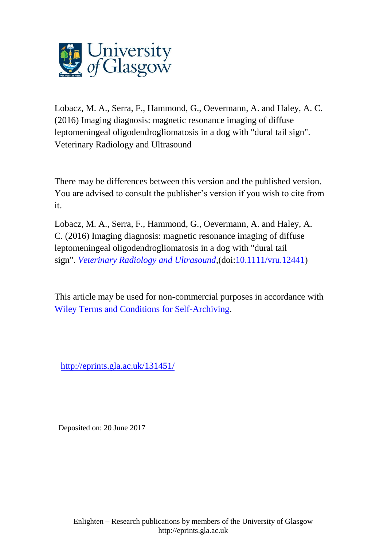

Lobacz, M. A., Serra, F., Hammond, G., Oevermann, A. and Haley, A. C. (2016) Imaging diagnosis: magnetic resonance imaging of diffuse leptomeningeal oligodendrogliomatosis in a dog with "dural tail sign". Veterinary Radiology and Ultrasound

There may be differences between this version and the published version. You are advised to consult the publisher's version if you wish to cite from it.

Lobacz, M. A., Serra, F., Hammond, G., Oevermann, A. and Haley, A. C. (2016) Imaging diagnosis: magnetic resonance imaging of diffuse leptomeningeal oligodendrogliomatosis in a dog with "dural tail sign". *[Veterinary Radiology and Ultrasound](http://eprints.gla.ac.uk/view/journal_volume/Veterinary_Radiology_and_Ultrasound.html)*,(doi[:10.1111/vru.12441\)](http://dx.doi.org/10.1111/vru.12441)

This article may be used for non-commercial purposes in accordance with [Wiley Terms and Conditions for Self-Archiving.](http://olabout.wiley.com/WileyCDA/Section/id-828039.html#terms)

<http://eprints.gla.ac.uk/131451/>

Deposited on: 20 June 2017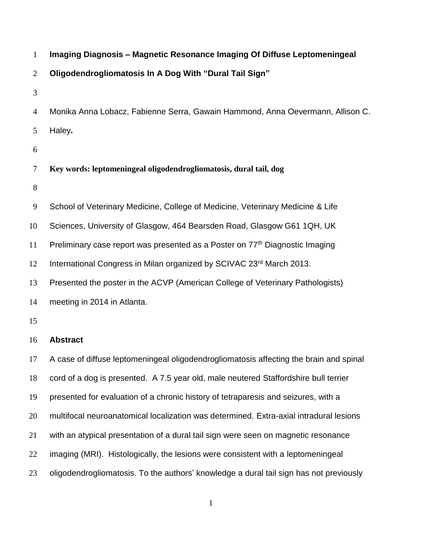| $\mathbf{1}$   | Imaging Diagnosis – Magnetic Resonance Imaging Of Diffuse Leptomeningeal                 |
|----------------|------------------------------------------------------------------------------------------|
| $\overline{2}$ | Oligodendrogliomatosis In A Dog With "Dural Tail Sign"                                   |
| 3              |                                                                                          |
| $\overline{4}$ | Monika Anna Lobacz, Fabienne Serra, Gawain Hammond, Anna Oevermann, Allison C.           |
| 5              | Haley.                                                                                   |
| 6              |                                                                                          |
| 7              | Key words: leptomeningeal oligodendrogliomatosis, dural tail, dog                        |
| $8\,$          |                                                                                          |
| 9              | School of Veterinary Medicine, College of Medicine, Veterinary Medicine & Life           |
| 10             | Sciences, University of Glasgow, 464 Bearsden Road, Glasgow G61 1QH, UK                  |
| 11             | Preliminary case report was presented as a Poster on 77 <sup>th</sup> Diagnostic Imaging |
| 12             | International Congress in Milan organized by SCIVAC 23 <sup>rd</sup> March 2013.         |
| 13             | Presented the poster in the ACVP (American College of Veterinary Pathologists)           |
| 14             | meeting in 2014 in Atlanta.                                                              |
| 15             |                                                                                          |
| 16             | <b>Abstract</b>                                                                          |
| 17             | A case of diffuse leptomeningeal oligodendrogliomatosis affecting the brain and spinal   |
| 18             | cord of a dog is presented. A 7.5 year old, male neutered Staffordshire bull terrier     |
| 19             | presented for evaluation of a chronic history of tetraparesis and seizures, with a       |
| 20             | multifocal neuroanatomical localization was determined. Extra-axial intradural lesions   |
| 21             | with an atypical presentation of a dural tail sign were seen on magnetic resonance       |
| 22             | imaging (MRI). Histologically, the lesions were consistent with a leptomeningeal         |
| 23             | oligodendrogliomatosis. To the authors' knowledge a dural tail sign has not previously   |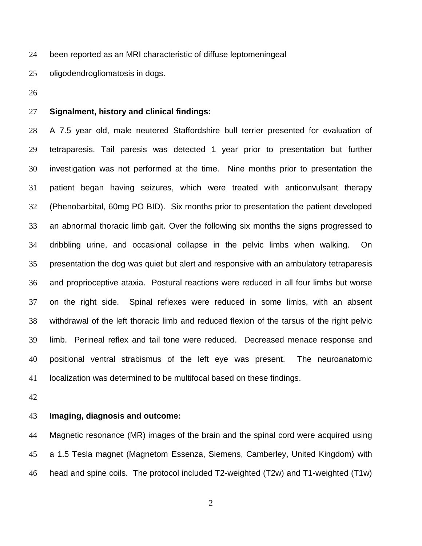been reported as an MRI characteristic of diffuse leptomeningeal

oligodendrogliomatosis in dogs.

## **Signalment, history and clinical findings:**

 A 7.5 year old, male neutered Staffordshire bull terrier presented for evaluation of tetraparesis. Tail paresis was detected 1 year prior to presentation but further investigation was not performed at the time. Nine months prior to presentation the patient began having seizures, which were treated with anticonvulsant therapy (Phenobarbital, 60mg PO BID). Six months prior to presentation the patient developed an abnormal thoracic limb gait. Over the following six months the signs progressed to dribbling urine, and occasional collapse in the pelvic limbs when walking. On presentation the dog was quiet but alert and responsive with an ambulatory tetraparesis and proprioceptive ataxia. Postural reactions were reduced in all four limbs but worse on the right side. Spinal reflexes were reduced in some limbs, with an absent withdrawal of the left thoracic limb and reduced flexion of the tarsus of the right pelvic limb. Perineal reflex and tail tone were reduced. Decreased menace response and positional ventral strabismus of the left eye was present. The neuroanatomic localization was determined to be multifocal based on these findings.

## **Imaging, diagnosis and outcome:**

 Magnetic resonance (MR) images of the brain and the spinal cord were acquired using a 1.5 Tesla magnet (Magnetom Essenza, Siemens, Camberley, United Kingdom) with head and spine coils. The protocol included T2-weighted (T2w) and T1-weighted (T1w)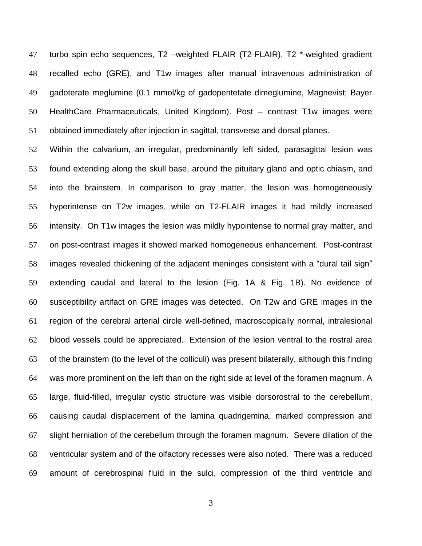turbo spin echo sequences, T2 –weighted FLAIR (T2-FLAIR), T2 \*-weighted gradient recalled echo (GRE), and T1w images after manual intravenous administration of gadoterate meglumine (0.1 mmol/kg of gadopentetate dimeglumine, Magnevist; Bayer HealthCare Pharmaceuticals, United Kingdom). Post – contrast T1w images were obtained immediately after injection in sagittal, transverse and dorsal planes.

 Within the calvarium, an irregular, predominantly left sided, parasagittal lesion was found extending along the skull base, around the pituitary gland and optic chiasm, and into the brainstem. In comparison to gray matter, the lesion was homogeneously hyperintense on T2w images, while on T2-FLAIR images it had mildly increased intensity. On T1w images the lesion was mildly hypointense to normal gray matter, and on post-contrast images it showed marked homogeneous enhancement. Post-contrast images revealed thickening of the adjacent meninges consistent with a "dural tail sign" extending caudal and lateral to the lesion (Fig. 1A & Fig. 1B). No evidence of susceptibility artifact on GRE images was detected. On T2w and GRE images in the region of the cerebral arterial circle well-defined, macroscopically normal, intralesional blood vessels could be appreciated. Extension of the lesion ventral to the rostral area of the brainstem (to the level of the colliculi) was present bilaterally, although this finding was more prominent on the left than on the right side at level of the foramen magnum. A large, fluid-filled, irregular cystic structure was visible dorsorostral to the cerebellum, causing caudal displacement of the lamina quadrigemina, marked compression and slight herniation of the cerebellum through the foramen magnum. Severe dilation of the ventricular system and of the olfactory recesses were also noted. There was a reduced amount of cerebrospinal fluid in the sulci, compression of the third ventricle and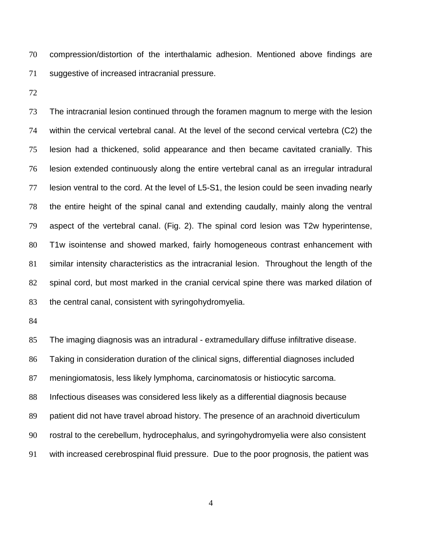compression/distortion of the interthalamic adhesion. Mentioned above findings are suggestive of increased intracranial pressure.

 The intracranial lesion continued through the foramen magnum to merge with the lesion within the cervical vertebral canal. At the level of the second cervical vertebra (C2) the lesion had a thickened, solid appearance and then became cavitated cranially. This lesion extended continuously along the entire vertebral canal as an irregular intradural lesion ventral to the cord. At the level of L5-S1, the lesion could be seen invading nearly the entire height of the spinal canal and extending caudally, mainly along the ventral aspect of the vertebral canal. (Fig. 2). The spinal cord lesion was T2w hyperintense, T1w isointense and showed marked, fairly homogeneous contrast enhancement with similar intensity characteristics as the intracranial lesion. Throughout the length of the spinal cord, but most marked in the cranial cervical spine there was marked dilation of the central canal, consistent with syringohydromyelia.

 The imaging diagnosis was an intradural - extramedullary diffuse infiltrative disease. Taking in consideration duration of the clinical signs, differential diagnoses included meningiomatosis, less likely lymphoma, carcinomatosis or histiocytic sarcoma. Infectious diseases was considered less likely as a differential diagnosis because patient did not have travel abroad history. The presence of an arachnoid diverticulum rostral to the cerebellum, hydrocephalus, and syringohydromyelia were also consistent with increased cerebrospinal fluid pressure. Due to the poor prognosis, the patient was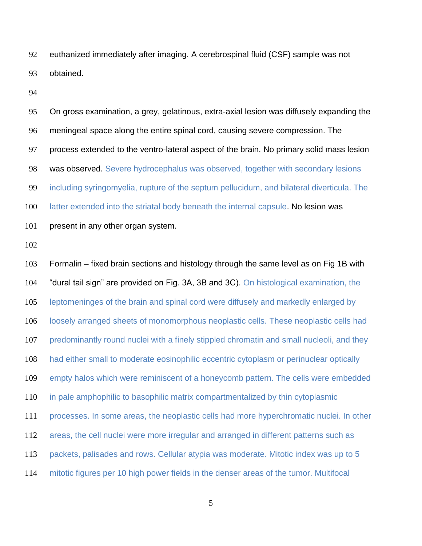euthanized immediately after imaging. A cerebrospinal fluid (CSF) sample was not obtained.

 On gross examination, a grey, gelatinous, extra-axial lesion was diffusely expanding the meningeal space along the entire spinal cord, causing severe compression. The process extended to the ventro-lateral aspect of the brain. No primary solid mass lesion was observed. Severe hydrocephalus was observed, together with secondary lesions including syringomyelia, rupture of the septum pellucidum, and bilateral diverticula. The 100 latter extended into the striatal body beneath the internal capsule. No lesion was present in any other organ system. Formalin – fixed brain sections and histology through the same level as on Fig 1B with "dural tail sign" are provided on Fig. 3A, 3B and 3C). On histological examination, the leptomeninges of the brain and spinal cord were diffusely and markedly enlarged by loosely arranged sheets of monomorphous neoplastic cells. These neoplastic cells had predominantly round nuclei with a finely stippled chromatin and small nucleoli, and they had either small to moderate eosinophilic eccentric cytoplasm or perinuclear optically empty halos which were reminiscent of a honeycomb pattern. The cells were embedded in pale amphophilic to basophilic matrix compartmentalized by thin cytoplasmic processes. In some areas, the neoplastic cells had more hyperchromatic nuclei. In other areas, the cell nuclei were more irregular and arranged in different patterns such as packets, palisades and rows. Cellular atypia was moderate. Mitotic index was up to 5 mitotic figures per 10 high power fields in the denser areas of the tumor. Multifocal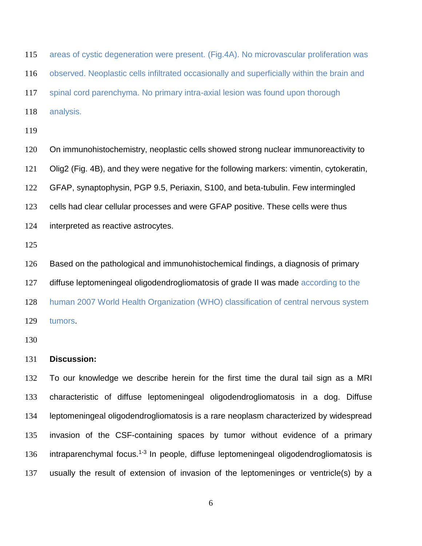areas of cystic degeneration were present. (Fig.4A). No microvascular proliferation was

observed. Neoplastic cells infiltrated occasionally and superficially within the brain and

spinal cord parenchyma. No primary intra-axial lesion was found upon thorough

analysis.

120 On immunohistochemistry, neoplastic cells showed strong nuclear immunoreactivity to Olig2 (Fig. 4B), and they were negative for the following markers: vimentin, cytokeratin, GFAP, synaptophysin, PGP 9.5, Periaxin, S100, and beta-tubulin. Few intermingled cells had clear cellular processes and were GFAP positive. These cells were thus interpreted as reactive astrocytes.

 Based on the pathological and immunohistochemical findings, a diagnosis of primary 127 diffuse leptomeningeal oligodendrogliomatosis of grade II was made according to the human 2007 World Health Organization (WHO) classification of central nervous system tumors.

## **Discussion:**

 To our knowledge we describe herein for the first time the dural tail sign as a MRI characteristic of diffuse leptomeningeal oligodendrogliomatosis in a dog. Diffuse leptomeningeal oligodendrogliomatosis is a rare neoplasm characterized by widespread invasion of the CSF-containing spaces by tumor without evidence of a primary 136 intraparenchymal focus.<sup>1-3</sup> In people, diffuse leptomeningeal oligodendrogliomatosis is usually the result of extension of invasion of the leptomeninges or ventricle(s) by a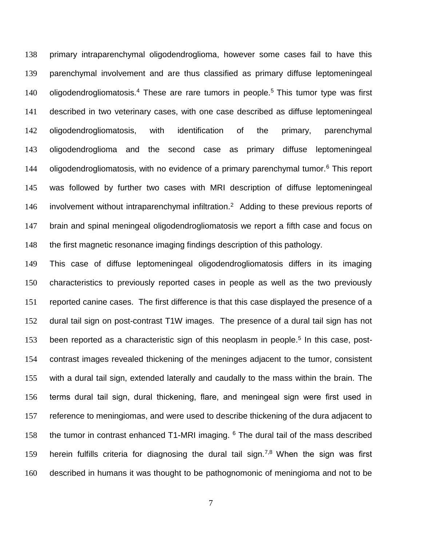primary intraparenchymal oligodendroglioma, however some cases fail to have this parenchymal involvement and are thus classified as primary diffuse leptomeningeal 140 oligodendrogliomatosis.<sup>4</sup> These are rare tumors in people.<sup>5</sup> This tumor type was first described in two veterinary cases, with one case described as diffuse leptomeningeal oligodendrogliomatosis, with identification of the primary, parenchymal oligodendroglioma and the second case as primary diffuse leptomeningeal 144 oligodendrogliomatosis, with no evidence of a primary parenchymal tumor.<sup>6</sup> This report was followed by further two cases with MRI description of diffuse leptomeningeal 146 involvement without intraparenchymal infiltration.<sup>2</sup> Adding to these previous reports of brain and spinal meningeal oligodendrogliomatosis we report a fifth case and focus on the first magnetic resonance imaging findings description of this pathology.

 This case of diffuse leptomeningeal oligodendrogliomatosis differs in its imaging characteristics to previously reported cases in people as well as the two previously reported canine cases. The first difference is that this case displayed the presence of a dural tail sign on post-contrast T1W images. The presence of a dural tail sign has not 153 been reported as a characteristic sign of this neoplasm in people.<sup>5</sup> In this case, post- contrast images revealed thickening of the meninges adjacent to the tumor, consistent with a dural tail sign, extended laterally and caudally to the mass within the brain. The terms dural tail sign, dural thickening, flare, and meningeal sign were first used in reference to meningiomas, and were used to describe thickening of the dura adjacent to 158 the tumor in contrast enhanced T1-MRI imaging. The dural tail of the mass described 159 herein fulfills criteria for diagnosing the dural tail sign.<sup>7,8</sup> When the sign was first described in humans it was thought to be pathognomonic of meningioma and not to be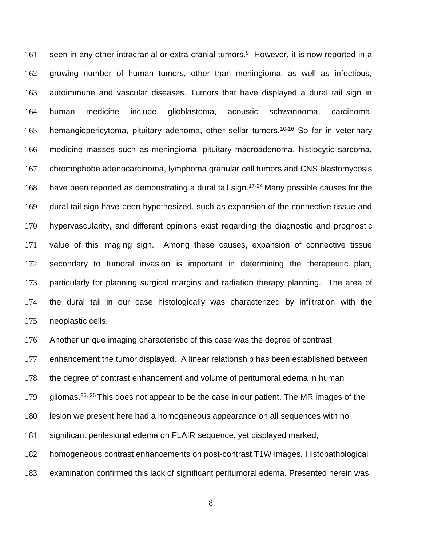161 seen in any other intracranial or extra-cranial tumors.<sup>9</sup> However, it is now reported in a growing number of human tumors, other than meningioma, as well as infectious, autoimmune and vascular diseases. Tumors that have displayed a dural tail sign in human medicine include glioblastoma, acoustic schwannoma, carcinoma, 165 hemangiopericytoma, pituitary adenoma, other sellar tumors.<sup>10-16</sup> So far in veterinary medicine masses such as meningioma, pituitary macroadenoma, histiocytic sarcoma, chromophobe adenocarcinoma, lymphoma granular cell tumors and CNS blastomycosis 168 have been reported as demonstrating a dural tail sign.<sup>17-24</sup> Many possible causes for the dural tail sign have been hypothesized, such as expansion of the connective tissue and hypervascularity, and different opinions exist regarding the diagnostic and prognostic value of this imaging sign. Among these causes, expansion of connective tissue secondary to tumoral invasion is important in determining the therapeutic plan, particularly for planning surgical margins and radiation therapy planning. The area of the dural tail in our case histologically was characterized by infiltration with the neoplastic cells.

Another unique imaging characteristic of this case was the degree of contrast

enhancement the tumor displayed. A linear relationship has been established between

the degree of contrast enhancement and volume of peritumoral edema in human

179 gliomas.<sup>25, 26</sup> This does not appear to be the case in our patient. The MR images of the

lesion we present here had a homogeneous appearance on all sequences with no

significant perilesional edema on FLAIR sequence, yet displayed marked,

homogeneous contrast enhancements on post-contrast T1W images. Histopathological

examination confirmed this lack of significant peritumoral edema. Presented herein was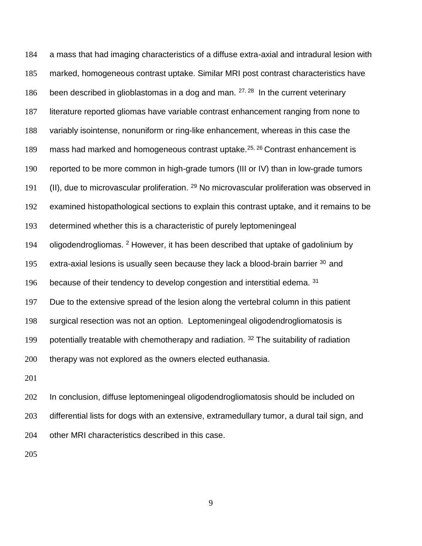a mass that had imaging characteristics of a diffuse extra-axial and intradural lesion with marked, homogeneous contrast uptake. Similar MRI post contrast characteristics have 186 been described in glioblastomas in a dog and man.  $27, 28$  In the current veterinary literature reported gliomas have variable contrast enhancement ranging from none to variably isointense, nonuniform or ring-like enhancement, whereas in this case the 189 mass had marked and homogeneous contrast uptake.<sup>25, 26</sup> Contrast enhancement is reported to be more common in high-grade tumors (III or IV) than in low-grade tumors 191 (II), due to microvascular proliferation. No microvascular proliferation was observed in examined histopathological sections to explain this contrast uptake, and it remains to be determined whether this is a characteristic of purely leptomeningeal 194 oligodendrogliomas. However, it has been described that uptake of gadolinium by 195 extra-axial lesions is usually seen because they lack a blood-brain barrier and 196 because of their tendency to develop congestion and interstitial edema. Due to the extensive spread of the lesion along the vertebral column in this patient surgical resection was not an option. Leptomeningeal oligodendrogliomatosis is 199 potentially treatable with chemotherapy and radiation. The suitability of radiation therapy was not explored as the owners elected euthanasia. 

202 In conclusion, diffuse leptomeningeal oligodendrogliomatosis should be included on differential lists for dogs with an extensive, extramedullary tumor, a dural tail sign, and other MRI characteristics described in this case.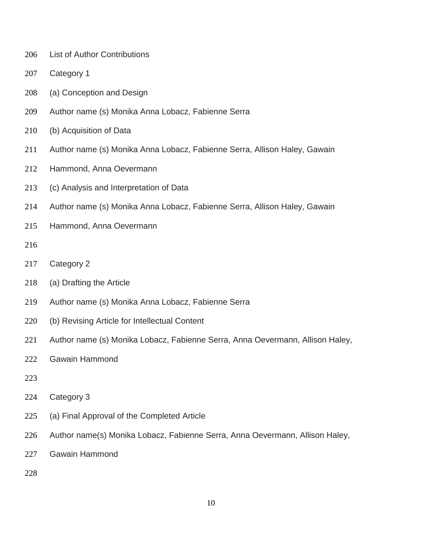- List of Author Contributions
- Category 1
- (a) Conception and Design
- Author name (s) Monika Anna Lobacz, Fabienne Serra
- (b) Acquisition of Data
- Author name (s) Monika Anna Lobacz, Fabienne Serra, Allison Haley, Gawain
- Hammond, Anna Oevermann
- (c) Analysis and Interpretation of Data
- Author name (s) Monika Anna Lobacz, Fabienne Serra, Allison Haley, Gawain
- Hammond, Anna Oevermann
- 
- Category 2
- (a) Drafting the Article
- Author name (s) Monika Anna Lobacz, Fabienne Serra
- (b) Revising Article for Intellectual Content
- Author name (s) Monika Lobacz, Fabienne Serra, Anna Oevermann, Allison Haley,
- Gawain Hammond
- 
- Category 3
- (a) Final Approval of the Completed Article
- Author name(s) Monika Lobacz, Fabienne Serra, Anna Oevermann, Allison Haley,
- Gawain Hammond
-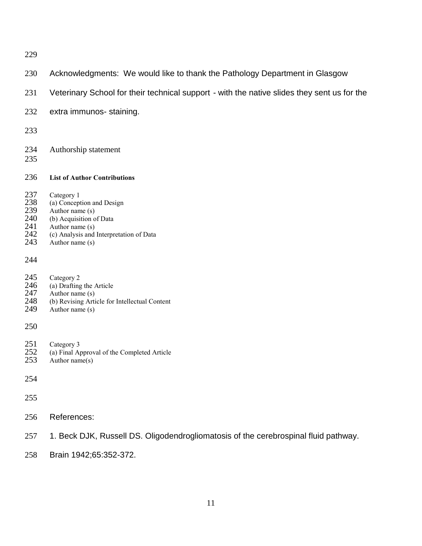| 230                                           | Acknowledgments: We would like to thank the Pathology Department in Glasgow                                                                                            |
|-----------------------------------------------|------------------------------------------------------------------------------------------------------------------------------------------------------------------------|
| 231                                           | Veterinary School for their technical support - with the native slides they sent us for the                                                                            |
| 232                                           | extra immunos- staining.                                                                                                                                               |
| 233                                           |                                                                                                                                                                        |
| 234<br>235                                    | Authorship statement                                                                                                                                                   |
| 236                                           | <b>List of Author Contributions</b>                                                                                                                                    |
| 237<br>238<br>239<br>240<br>241<br>242<br>243 | Category 1<br>(a) Conception and Design<br>Author name (s)<br>(b) Acquisition of Data<br>Author name (s)<br>(c) Analysis and Interpretation of Data<br>Author name (s) |
| 244                                           |                                                                                                                                                                        |
| 245<br>246<br>247<br>248<br>249               | Category 2<br>(a) Drafting the Article<br>Author name (s)<br>(b) Revising Article for Intellectual Content<br>Author name (s)                                          |
| 250                                           |                                                                                                                                                                        |
| 251<br>252<br>253                             | Category 3<br>(a) Final Approval of the Completed Article<br>Author name(s)                                                                                            |
| 254                                           |                                                                                                                                                                        |
| 255                                           |                                                                                                                                                                        |
| 256                                           | References:                                                                                                                                                            |
| 257                                           | 1. Beck DJK, Russell DS. Oligodendrogliomatosis of the cerebrospinal fluid pathway.                                                                                    |
| 258                                           | Brain 1942;65:352-372.                                                                                                                                                 |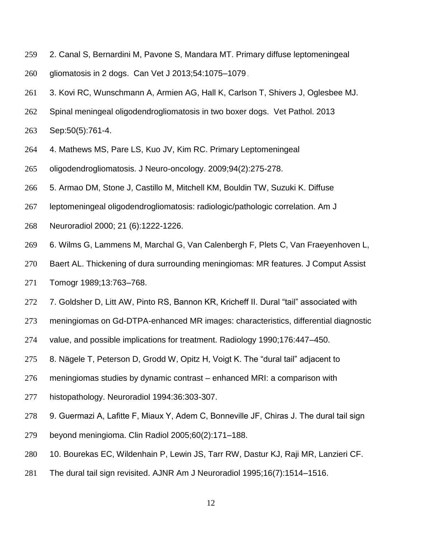- 2. Canal S, Bernardini M, Pavone S, Mandara MT. Primary diffuse leptomeningeal gliomatosis in 2 dogs. Can Vet J 2013;54:1075–1079 .
- 3. Kovi RC, Wunschmann A, Armien AG, Hall K, Carlson T, Shivers J, Oglesbee MJ.
- Spinal meningeal oligodendrogliomatosis in two boxer dogs. Vet Pathol. 2013
- Sep:50(5):761-4.
- 4. Mathews MS, Pare LS, Kuo JV, Kim RC. Primary Leptomeningeal
- oligodendrogliomatosis. J Neuro-oncology. 2009;94(2):275-278.
- 5. Armao DM, Stone J, Castillo M, Mitchell KM, Bouldin TW, Suzuki K. Diffuse
- leptomeningeal oligodendrogliomatosis: radiologic/pathologic correlation. Am J
- Neuroradiol 2000; 21 (6):1222-1226.
- 6. Wilms G, Lammens M, Marchal G, Van Calenbergh F, Plets C, Van Fraeyenhoven L,
- Baert AL. Thickening of dura surrounding meningiomas: MR features. J Comput Assist
- Tomogr 1989;13:763–768.
- 272 7. Goldsher D, Litt AW, Pinto RS, Bannon KR, Kricheff II. Dural "tail" associated with
- meningiomas on Gd-DTPA-enhanced MR images: characteristics, differential diagnostic
- value, and possible implications for treatment. Radiology 1990;176:447–450.
- 8. Nägele T, Peterson D, Grodd W, Opitz H, Voigt K. The "dural tail" adjacent to
- meningiomas studies by dynamic contrast enhanced MRI: a comparison with
- histopathology. Neuroradiol 1994:36:303-307.
- 9. Guermazi A, Lafitte F, Miaux Y, Adem C, Bonneville JF, Chiras J. The dural tail sign
- beyond meningioma. Clin Radiol 2005;60(2):171–188.
- 10. Bourekas EC, Wildenhain P, Lewin JS, Tarr RW, Dastur KJ, Raji MR, Lanzieri CF.
- The dural tail sign revisited. AJNR Am J Neuroradiol 1995;16(7):1514–1516.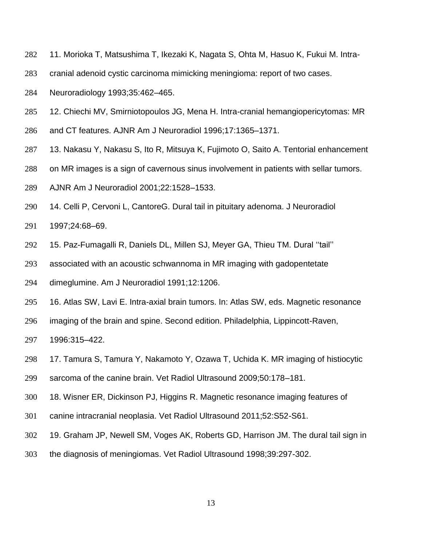- 11. Morioka T, Matsushima T, Ikezaki K, Nagata S, Ohta M, Hasuo K, Fukui M. Intra-
- cranial adenoid cystic carcinoma mimicking meningioma: report of two cases.
- Neuroradiology 1993;35:462–465.
- 12. Chiechi MV, Smirniotopoulos JG, Mena H. Intra-cranial hemangiopericytomas: MR
- and CT features. AJNR Am J Neuroradiol 1996;17:1365–1371.
- 13. Nakasu Y, Nakasu S, Ito R, Mitsuya K, Fujimoto O, Saito A. Tentorial enhancement
- on MR images is a sign of cavernous sinus involvement in patients with sellar tumors.
- AJNR Am J Neuroradiol 2001;22:1528–1533.
- 14. Celli P, Cervoni L, CantoreG. Dural tail in pituitary adenoma. J Neuroradiol
- 1997;24:68–69.
- 15. Paz-Fumagalli R, Daniels DL, Millen SJ, Meyer GA, Thieu TM. Dural ''tail''
- associated with an acoustic schwannoma in MR imaging with gadopentetate
- dimeglumine. Am J Neuroradiol 1991;12:1206.
- 16. Atlas SW, Lavi E. Intra-axial brain tumors. In: Atlas SW, eds. Magnetic resonance
- imaging of the brain and spine. Second edition. Philadelphia, Lippincott-Raven,
- 1996:315–422.
- 17. Tamura S, Tamura Y, Nakamoto Y, Ozawa T, Uchida K. MR imaging of histiocytic
- sarcoma of the canine brain. Vet Radiol Ultrasound 2009;50:178–181.
- 18. Wisner ER, Dickinson PJ, Higgins R. Magnetic resonance imaging features of
- canine intracranial neoplasia. Vet Radiol Ultrasound 2011;52:S52-S61.
- 19. Graham JP, Newell SM, Voges AK, Roberts GD, Harrison JM. The dural tail sign in
- the diagnosis of meningiomas. Vet Radiol Ultrasound 1998;39:297-302.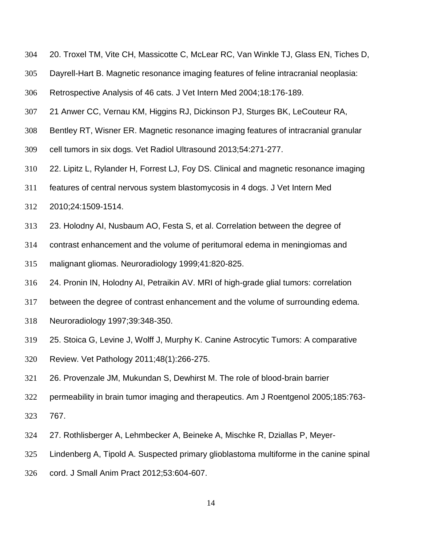- 20. Troxel TM, Vite CH, Massicotte C, McLear RC, Van Winkle TJ, Glass EN, Tiches D,
- Dayrell-Hart B. Magnetic resonance imaging features of feline intracranial neoplasia:
- Retrospective Analysis of 46 cats. J Vet Intern Med 2004;18:176-189.
- 21 Anwer CC, Vernau KM, Higgins RJ, Dickinson PJ, Sturges BK, LeCouteur RA,
- Bentley RT, Wisner ER. Magnetic resonance imaging features of intracranial granular
- cell tumors in six dogs. Vet Radiol Ultrasound 2013;54:271-277.
- 22. Lipitz L, Rylander H, Forrest LJ, Foy DS. Clinical and magnetic resonance imaging
- features of central nervous system blastomycosis in 4 dogs. J Vet Intern Med
- 2010;24:1509-1514.
- 23. Holodny AI, Nusbaum AO, Festa S, et al. Correlation between the degree of
- contrast enhancement and the volume of peritumoral edema in meningiomas and
- malignant gliomas. Neuroradiology 1999;41:820-825.
- 24. Pronin IN, Holodny AI, Petraikin AV. MRI of high-grade glial tumors: correlation
- between the degree of contrast enhancement and the volume of surrounding edema.
- Neuroradiology 1997;39:348-350.
- 25. Stoica G, Levine J, Wolff J, Murphy K. Canine Astrocytic Tumors: A comparative
- Review. Vet Pathology 2011;48(1):266-275.
- 26. Provenzale JM, Mukundan S, Dewhirst M. The role of blood-brain barrier
- permeability in brain tumor imaging and therapeutics. Am J Roentgenol 2005;185:763-
- 767.
- 27. Rothlisberger A, Lehmbecker A, Beineke A, Mischke R, Dziallas P, Meyer-
- Lindenberg A, Tipold A. Suspected primary glioblastoma multiforme in the canine spinal
- cord. J Small Anim Pract 2012;53:604-607.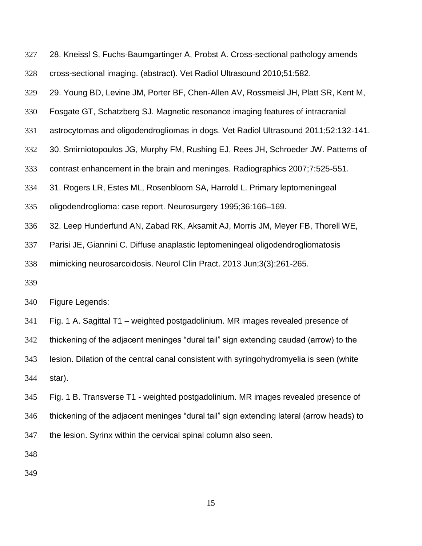| 327 | 28. Kneissl S, Fuchs-Baumgartinger A, Probst A. Cross-sectional pathology amends         |
|-----|------------------------------------------------------------------------------------------|
| 328 | cross-sectional imaging. (abstract). Vet Radiol Ultrasound 2010;51:582.                  |
| 329 | 29. Young BD, Levine JM, Porter BF, Chen-Allen AV, Rossmeisl JH, Platt SR, Kent M,       |
| 330 | Fosgate GT, Schatzberg SJ. Magnetic resonance imaging features of intracranial           |
| 331 | astrocytomas and oligodendrogliomas in dogs. Vet Radiol Ultrasound 2011;52:132-141.      |
| 332 | 30. Smirniotopoulos JG, Murphy FM, Rushing EJ, Rees JH, Schroeder JW. Patterns of        |
| 333 | contrast enhancement in the brain and meninges. Radiographics 2007;7:525-551.            |
| 334 | 31. Rogers LR, Estes ML, Rosenbloom SA, Harrold L. Primary leptomeningeal                |
| 335 | oligodendroglioma: case report. Neurosurgery 1995;36:166-169.                            |
| 336 | 32. Leep Hunderfund AN, Zabad RK, Aksamit AJ, Morris JM, Meyer FB, Thorell WE,           |
| 337 | Parisi JE, Giannini C. Diffuse anaplastic leptomeningeal oligodendrogliomatosis          |
| 338 | mimicking neurosarcoidosis. Neurol Clin Pract. 2013 Jun;3(3):261-265.                    |
| 339 |                                                                                          |
| 340 | Figure Legends:                                                                          |
| 341 | Fig. 1 A. Sagittal T1 – weighted postgadolinium. MR images revealed presence of          |
| 342 | thickening of the adjacent meninges "dural tail" sign extending caudad (arrow) to the    |
| 343 | lesion. Dilation of the central canal consistent with syringohydromyelia is seen (white  |
| 344 | star).                                                                                   |
| 345 | Fig. 1 B. Transverse T1 - weighted postgadolinium. MR images revealed presence of        |
| 346 | thickening of the adjacent meninges "dural tail" sign extending lateral (arrow heads) to |

- the lesion. Syrinx within the cervical spinal column also seen.
- 
-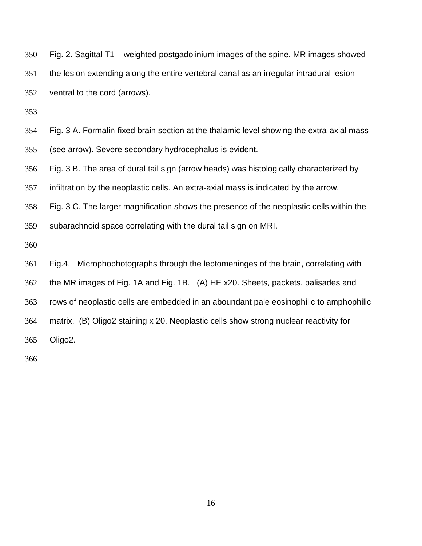Fig. 2. Sagittal T1 – weighted postgadolinium images of the spine. MR images showed the lesion extending along the entire vertebral canal as an irregular intradural lesion ventral to the cord (arrows).

 Fig. 3 A. Formalin-fixed brain section at the thalamic level showing the extra-axial mass (see arrow). Severe secondary hydrocephalus is evident.

Fig. 3 B. The area of dural tail sign (arrow heads) was histologically characterized by

infiltration by the neoplastic cells. An extra-axial mass is indicated by the arrow.

Fig. 3 C. The larger magnification shows the presence of the neoplastic cells within the

subarachnoid space correlating with the dural tail sign on MRI.

Fig.4. Microphophotographs through the leptomeninges of the brain, correlating with

the MR images of Fig. 1A and Fig. 1B. (A) HE x20. Sheets, packets, palisades and

rows of neoplastic cells are embedded in an aboundant pale eosinophilic to amphophilic

matrix. (B) Oligo2 staining x 20. Neoplastic cells show strong nuclear reactivity for

Oligo2.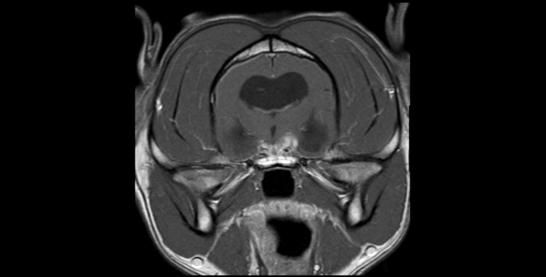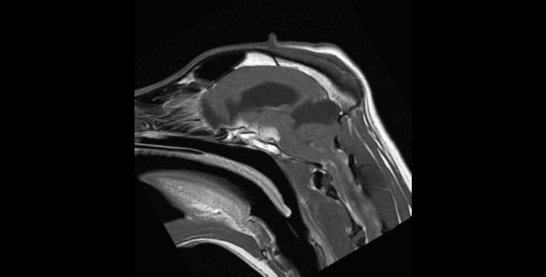